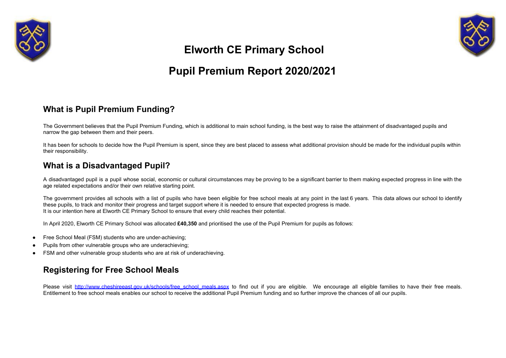



# **Elworth CE Primary School**

# **Pupil Premium Report 2020/2021**

#### **What is Pupil Premium Funding?**

The Government believes that the Pupil Premium Funding, which is additional to main school funding, is the best way to raise the attainment of disadvantaged pupils and narrow the gap between them and their peers.

It has been for schools to decide how the Pupil Premium is spent, since they are best placed to assess what additional provision should be made for the individual pupils within their responsibility.

#### **What is a Disadvantaged Pupil?**

A disadvantaged pupil is a pupil whose social, economic or cultural circumstances may be proving to be a significant barrier to them making expected progress in line with the age related expectations and/or their own relative starting point.

The government provides all schools with a list of pupils who have been eligible for free school meals at any point in the last 6 years. This data allows our school to identify these pupils, to track and monitor their progress and target support where it is needed to ensure that expected progress is made. It is our intention here at Elworth CE Primary School to ensure that every child reaches their potential.

In April 2020, Elworth CE Primary School was allocated **£40,350** and prioritised the use of the Pupil Premium for pupils as follows:

- Free School Meal (FSM) students who are under-achieving;
- Pupils from other vulnerable groups who are underachieving;
- FSM and other vulnerable group students who are at risk of underachieving.

#### **Registering for Free School Meals**

Please visit [http://www.cheshireeast.gov.uk/schools/free\\_school\\_meals.aspx](http://www.cheshireeast.gov.uk/schools/free_school_meals.aspx) to find out if you are eligible. We encourage all eligible families to have their free meals. Entitlement to free school meals enables our school to receive the additional Pupil Premium funding and so further improve the chances of all our pupils.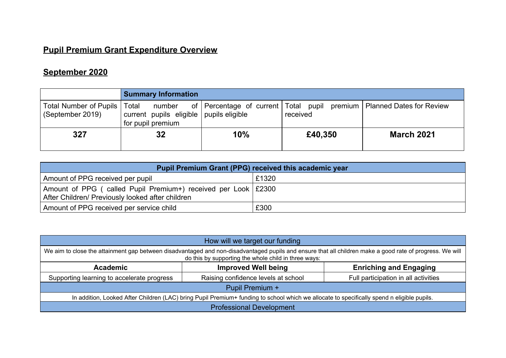### **Pupil Premium Grant Expenditure Overview**

## **September 2020**

|                                                    | <b>Summary Information</b>                                             |     |          |                                                                             |
|----------------------------------------------------|------------------------------------------------------------------------|-----|----------|-----------------------------------------------------------------------------|
| Total Number of Pupils   Total<br>(September 2019) | number<br>current pupils eligible pupils eligible<br>for pupil premium |     | received | of   Percentage of current   Total pupil premium   Planned Dates for Review |
| 327                                                | 32                                                                     | 10% | £40,350  | <b>March 2021</b>                                                           |

| <b>Pupil Premium Grant (PPG) received this academic year</b>                                                        |       |  |  |  |  |  |  |
|---------------------------------------------------------------------------------------------------------------------|-------|--|--|--|--|--|--|
| Amount of PPG received per pupil                                                                                    | £1320 |  |  |  |  |  |  |
| Amount of PPG (called Pupil Premium+) received per Look   £2300<br>After Children/ Previously looked after children |       |  |  |  |  |  |  |
| Amount of PPG received per service child                                                                            | £300  |  |  |  |  |  |  |

| How will we target our funding                                                                                                                                                                                   |                                     |                                      |  |  |  |  |  |
|------------------------------------------------------------------------------------------------------------------------------------------------------------------------------------------------------------------|-------------------------------------|--------------------------------------|--|--|--|--|--|
| We aim to close the attainment gap between disadvantaged and non-disadvantaged pupils and ensure that all children make a good rate of progress. We will<br>do this by supporting the whole child in three ways: |                                     |                                      |  |  |  |  |  |
| <b>Academic</b>                                                                                                                                                                                                  | <b>Enriching and Engaging</b>       |                                      |  |  |  |  |  |
| Supporting learning to accelerate progress                                                                                                                                                                       | Raising confidence levels at school | Full participation in all activities |  |  |  |  |  |
|                                                                                                                                                                                                                  | Pupil Premium +                     |                                      |  |  |  |  |  |
| In addition, Looked After Children (LAC) bring Pupil Premium+ funding to school which we allocate to specifically spend n eligible pupils.                                                                       |                                     |                                      |  |  |  |  |  |
| <b>Professional Development</b>                                                                                                                                                                                  |                                     |                                      |  |  |  |  |  |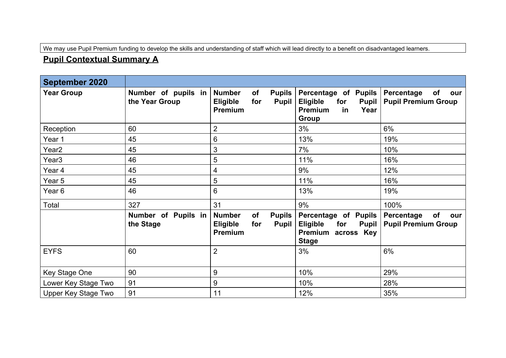We may use Pupil Premium funding to develop the skills and understanding of staff which will lead directly to a benefit on disadvantaged learners.

### **Pupil Contextual Summary A**

| <b>September 2020</b> |                                       |                                                                                           |                                                                                                                |                                                       |
|-----------------------|---------------------------------------|-------------------------------------------------------------------------------------------|----------------------------------------------------------------------------------------------------------------|-------------------------------------------------------|
| <b>Year Group</b>     | Number of pupils in<br>the Year Group | <b>Number</b><br>of<br><b>Pupils</b><br><b>Eligible</b><br>for<br><b>Pupil</b><br>Premium | Percentage of Pupils<br><b>Eligible</b><br>for<br><b>Pupil</b><br><b>Premium</b><br>in<br>Year<br>Group        | Percentage<br>of<br>our<br><b>Pupil Premium Group</b> |
| Reception             | 60                                    | $\overline{2}$                                                                            | 3%                                                                                                             | 6%                                                    |
| Year 1                | 45                                    | $6\phantom{1}$                                                                            | 13%                                                                                                            | 19%                                                   |
| Year2                 | 45                                    | 3                                                                                         | 7%                                                                                                             | 10%                                                   |
| Year <sub>3</sub>     | 46                                    | 5                                                                                         | 11%                                                                                                            | 16%                                                   |
| Year 4                | 45                                    | 4                                                                                         | 9%                                                                                                             | 12%                                                   |
| Year 5                | 45                                    | 5                                                                                         | 11%                                                                                                            | 16%                                                   |
| Year <sub>6</sub>     | 46                                    | $6\phantom{1}$                                                                            | 13%                                                                                                            | 19%                                                   |
| Total                 | 327                                   | 31                                                                                        | 9%                                                                                                             | 100%                                                  |
|                       | Number of Pupils in<br>the Stage      | <b>Number</b><br>of<br><b>Pupils</b><br>Eligible<br>for<br><b>Pupil</b><br>Premium        | Percentage of Pupils<br><b>Eligible</b><br>for<br><b>Pupil</b><br><b>Premium</b><br>across Key<br><b>Stage</b> | of<br>Percentage<br>our<br><b>Pupil Premium Group</b> |
| <b>EYFS</b>           | 60                                    | $\overline{2}$                                                                            | 3%                                                                                                             | 6%                                                    |
| Key Stage One         | 90                                    | $9\,$                                                                                     | 10%                                                                                                            | 29%                                                   |
| Lower Key Stage Two   | 91                                    | 9                                                                                         | 10%                                                                                                            | 28%                                                   |
| Upper Key Stage Two   | 91                                    | 11                                                                                        | 12%                                                                                                            | 35%                                                   |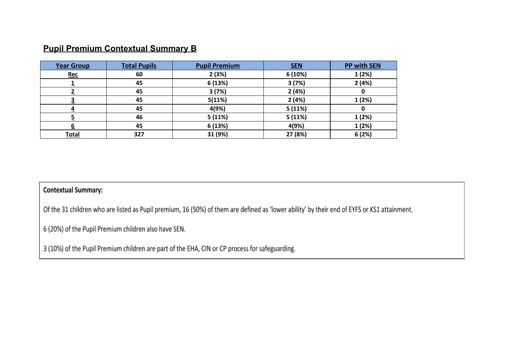#### **Pupil Premium Contextual Summary B**

| <b>Year Group</b> | <b>Total Pupils</b> | <b>Pupil Premium</b> | <b>SEN</b> | <b>PP with SEN</b> |
|-------------------|---------------------|----------------------|------------|--------------------|
| <b>Rec</b>        | 60                  | 2(3%)                | 6 (10%)    | 1(2%)              |
|                   | 45                  | 6 (13%)              | 3(7%)      | 2(4%)              |
|                   | 45                  | 3(7%)                | 2(4%)      |                    |
|                   | 45                  | 5(11%)               | 2(4%)      | 1(2%)              |
|                   | 45                  | 4(9%)                | 5(11%)     |                    |
|                   | 46                  | 5(11%)               | 5(11%)     | 1(2%)              |
|                   | 45                  | 6 (13%)              | 4(9%)      | 1(2%)              |
| <b>Total</b>      | 327                 | 31 (9%)              | 27 (8%)    | 6(2%)              |

#### **Contextual Summary:**

Of the 31 children who are listed as Pupil premium, 16 (50%) of them are defined as 'lower ability' by their end of EYFS or KS1 attainment.

6 (20%) of the Pupil Premium children also have SEN.

3 (10%) of the Pupil Premium children are part of the EHA, CIN or CP process for safeguarding.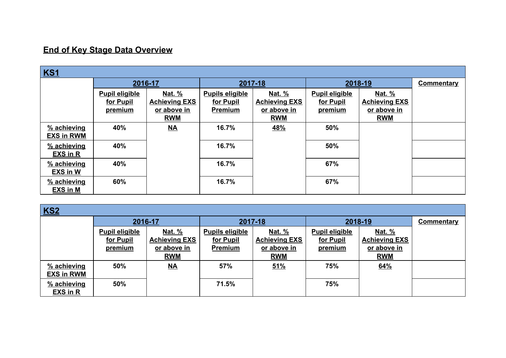### **End of Key Stage Data Overview**

| <b>KS1</b>        |                       |                      |                        |                      |                       |                      |                   |  |
|-------------------|-----------------------|----------------------|------------------------|----------------------|-----------------------|----------------------|-------------------|--|
|                   | 2016-17               |                      | 2017-18                |                      | 2018-19               |                      | <b>Commentary</b> |  |
|                   | <b>Pupil eligible</b> | <u>Nat. %</u>        | <b>Pupils eligible</b> | <u>Nat. %</u>        | <b>Pupil eligible</b> | <u>Nat. %</u>        |                   |  |
|                   | for Pupil             | <b>Achieving EXS</b> | for Pupil              | <b>Achieving EXS</b> | for Pupil             | <b>Achieving EXS</b> |                   |  |
|                   | premium               | or above in          | Premium                | or above in          | <b>premium</b>        | or above in          |                   |  |
|                   |                       | <b>RWM</b>           |                        | <b>RWM</b>           |                       | <b>RWM</b>           |                   |  |
| % achieving       | 40%                   | $M\rightarrow$       | 16.7%                  | 48%                  | 50%                   |                      |                   |  |
| <b>EXS in RWM</b> |                       |                      |                        |                      |                       |                      |                   |  |
| % achieving       | 40%                   |                      | 16.7%                  |                      | 50%                   |                      |                   |  |
| <b>EXS in R</b>   |                       |                      |                        |                      |                       |                      |                   |  |
| % achieving       | 40%                   |                      | 16.7%                  |                      | 67%                   |                      |                   |  |
| <b>EXS in W</b>   |                       |                      |                        |                      |                       |                      |                   |  |
| % achieving       | 60%                   |                      | 16.7%                  |                      | 67%                   |                      |                   |  |
| EXS in M          |                       |                      |                        |                      |                       |                      |                   |  |

| <b>KS2</b>        |                       |                           |                        |                      |                       |                      |                   |  |  |
|-------------------|-----------------------|---------------------------|------------------------|----------------------|-----------------------|----------------------|-------------------|--|--|
|                   |                       | 2016-17                   | 2017-18                |                      | 2018-19               |                      | <b>Commentary</b> |  |  |
|                   | <b>Pupil eligible</b> | <u>Nat. %</u>             | <b>Pupils eligible</b> | <u>Nat. %</u>        | <b>Pupil eligible</b> | <u>Nat. %</u>        |                   |  |  |
|                   | for Pupil             | <b>Achieving EXS</b>      | for Pupil              | <b>Achieving EXS</b> | for Pupil             | <b>Achieving EXS</b> |                   |  |  |
|                   | <u>premium</u>        | or above in               | Premium                | or above in          | <u>premium</u>        | or above in          |                   |  |  |
|                   |                       | <b>RWM</b>                |                        | <b>RWM</b>           |                       | <b>RWM</b>           |                   |  |  |
| % achieving       | 50%                   | $\underline{\mathsf{NA}}$ | 57%                    | 51%                  | 75%                   | 64%                  |                   |  |  |
| <b>EXS in RWM</b> |                       |                           |                        |                      |                       |                      |                   |  |  |
| % achieving       | 50%                   |                           | 71.5%                  |                      | 75%                   |                      |                   |  |  |
| <b>EXS in R</b>   |                       |                           |                        |                      |                       |                      |                   |  |  |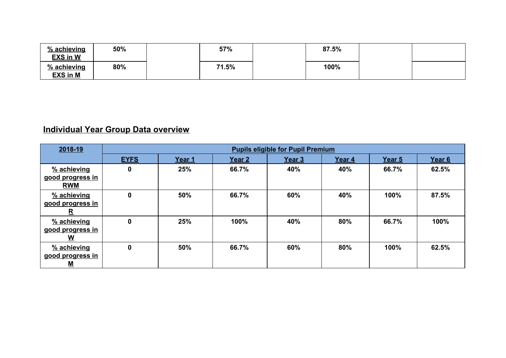| % achieving<br><b>EXS in W</b> | 50% | 57%   | 87.5% |  |
|--------------------------------|-----|-------|-------|--|
| % achieving<br><b>EXS in M</b> | 80% | 71.5% | 100%  |  |

## **Individual Year Group Data overview**

| 2018-19                                       | <b>Pupils eligible for Pupil Premium</b> |        |        |                   |        |        |                   |
|-----------------------------------------------|------------------------------------------|--------|--------|-------------------|--------|--------|-------------------|
|                                               | <b>EYFS</b>                              | Year 1 | Year 2 | Year <sub>3</sub> | Year 4 | Year 5 | Year <sub>6</sub> |
| % achieving<br>good progress in<br><b>RWM</b> | 0                                        | 25%    | 66.7%  | 40%               | 40%    | 66.7%  | 62.5%             |
| % achieving<br>good progress in<br><u>R</u>   | $\mathbf 0$                              | 50%    | 66.7%  | 60%               | 40%    | 100%   | 87.5%             |
| % achieving<br>good progress in<br>W          | $\mathbf 0$                              | 25%    | 100%   | 40%               | 80%    | 66.7%  | 100%              |
| % achieving<br>good progress in<br><u>М</u>   | $\mathbf 0$                              | 50%    | 66.7%  | 60%               | 80%    | 100%   | 62.5%             |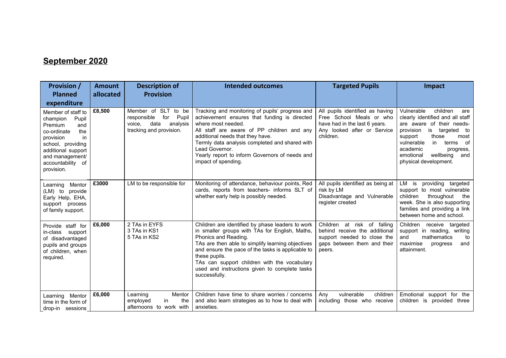## **September 2020**

| <b>Provision /</b><br><b>Planned</b><br>expenditure                                                                                                                                                 | <b>Amount</b><br>allocated | <b>Description of</b><br><b>Provision</b>                                                                | <b>Intended outcomes</b>                                                                                                                                                                                                                                                                                                                                                | <b>Targeted Pupils</b>                                                                                                                   | Impact                                                                                                                                                                                                                                                                             |
|-----------------------------------------------------------------------------------------------------------------------------------------------------------------------------------------------------|----------------------------|----------------------------------------------------------------------------------------------------------|-------------------------------------------------------------------------------------------------------------------------------------------------------------------------------------------------------------------------------------------------------------------------------------------------------------------------------------------------------------------------|------------------------------------------------------------------------------------------------------------------------------------------|------------------------------------------------------------------------------------------------------------------------------------------------------------------------------------------------------------------------------------------------------------------------------------|
| Member of staff to<br>champion<br>Pupil<br>Premium<br>and<br>the<br>co-ordinate<br>in<br>provision<br>school, providing<br>additional support<br>and management/<br>accountability of<br>provision. | £8,500                     | Member of SLT to be<br>for Pupil<br>responsible<br>voice,<br>data<br>analysis<br>tracking and provision. | Tracking and monitoring of pupils' progress and<br>achievement ensures that funding is directed<br>where most needed.<br>All staff are aware of PP children and any<br>additional needs that they have.<br>Termly data analysis completed and shared with<br>Lead Governor.<br>Yearly report to inform Governors of needs and<br>impact of spending.                    | All pupils identified as having<br>Free School Meals or who<br>have had in the last 6 years.<br>Any looked after or Service<br>children. | Vulnerable<br>children<br>are<br>clearly identified and all staff<br>are aware of their needs-<br>is<br>provision<br>targeted to<br>those<br>support<br>most<br>vulnerable<br>in<br>of<br>terms<br>academic<br>progress,<br>wellbeing<br>emotional<br>and<br>physical development. |
| Learning Mentor<br>(LM) to provide<br>Early Help, EHA,<br>support process<br>of family support.                                                                                                     | £3000                      | LM to be responsible for                                                                                 | Monitoring of attendance, behaviour points, Red<br>cards, reports from teachers- informs SLT of<br>whether early help is possibly needed.                                                                                                                                                                                                                               | All pupils identified as being at<br>risk by LM<br>Disadvantage and Vulnerable<br>register created                                       | LM is providing targeted<br>support to most vulnerable<br>children<br>throughout<br>the<br>week. She is also supporting<br>families and providing a link<br>between home and school.                                                                                               |
| Provide staff for<br>in-class support<br>of disadvantaged<br>pupils and groups<br>of children, when<br>required.                                                                                    | £6,000                     | 2 TAs in EYFS<br>3 TAs in KS1<br>5 TAs in KS2                                                            | Children are identified by phase leaders to work<br>in smaller groups with TAs for English, Maths,<br>Phonics and Reading.<br>TAs are then able to simplify learning objectives<br>and ensure the pace of the tasks is applicable to<br>these pupils.<br>TAs can support children with the vocabulary<br>used and instructions given to complete tasks<br>successfully. | Children at risk of falling<br>behind receive the additional<br>support needed to close the<br>gaps between them and their<br>peers.     | Children receive targeted<br>support in reading, writing<br>mathematics<br>and<br>to<br>maximise<br>and<br>progress<br>attainment.                                                                                                                                                 |
| Learning Mentor<br>time in the form of<br>drop-in sessions                                                                                                                                          | £6,000                     | Learning<br>Mentor<br>employed<br>in<br>the<br>afternoons to work with                                   | Children have time to share worries / concerns<br>and also learn strategies as to how to deal with<br>anxieties.                                                                                                                                                                                                                                                        | vulnerable<br>children<br>Any<br>including those who receive                                                                             | Emotional support for the<br>children is provided three                                                                                                                                                                                                                            |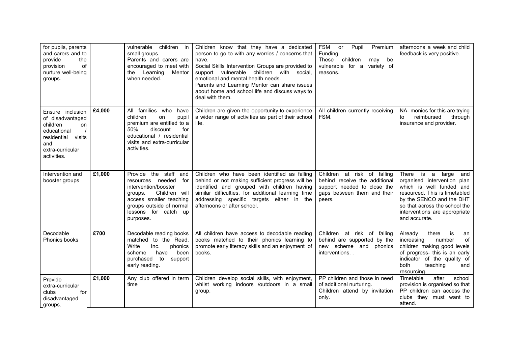| for pupils, parents<br>and carers and to<br>the<br>provide<br>of<br>provision<br>nurture well-being<br>groups.                        |        | vulnerable<br>children in<br>small groups.<br>Parents and carers are<br>encouraged to meet with<br>the Learning<br>Mentor<br>when needed.                                                        | Children know that they have a dedicated<br>person to go to with any worries / concerns that<br>have.<br>Social Skills Intervention Groups are provided to<br>support vulnerable children with social,<br>emotional and mental health needs.<br>Parents and Learning Mentor can share issues<br>about home and school life and discuss ways to<br>deal with them. | <b>FSM</b><br>Pupil<br>or<br>Premium<br>Funding.<br>These<br>children<br>be<br>may<br>vulnerable for a variety of<br>reasons.        | afternoons a week and child<br>feedback is very positive.                                                                                                                                                                                |
|---------------------------------------------------------------------------------------------------------------------------------------|--------|--------------------------------------------------------------------------------------------------------------------------------------------------------------------------------------------------|-------------------------------------------------------------------------------------------------------------------------------------------------------------------------------------------------------------------------------------------------------------------------------------------------------------------------------------------------------------------|--------------------------------------------------------------------------------------------------------------------------------------|------------------------------------------------------------------------------------------------------------------------------------------------------------------------------------------------------------------------------------------|
| Ensure inclusion<br>of disadvantaged<br>children<br>on<br>educational<br>residential visits<br>and<br>extra-curricular<br>activities. | £4,000 | All families who<br>have<br>children<br>on<br>pupil<br>premium are entitled to a<br>50%<br>discount<br>for<br>educational / residential<br>visits and extra-curricular<br>activities.            | Children are given the opportunity to experience<br>a wider range of activities as part of their school<br>life.                                                                                                                                                                                                                                                  | All children currently receiving<br>FSM.                                                                                             | NA- monies for this are trying<br>reimbursed<br>through<br>to<br>insurance and provider.                                                                                                                                                 |
| Intervention and<br>booster groups                                                                                                    | £1,000 | Provide the staff and<br>needed for<br>resources<br>intervention/booster<br>Children will<br>groups.<br>access smaller teaching<br>groups outside of normal<br>lessons for catch up<br>purposes. | Children who have been identified as falling<br>behind or not making sufficient progress will be<br>identified and grouped with children having<br>similar difficulties, for additional learning time<br>addressing specific targets either in the<br>afternoons or after school.                                                                                 | Children at risk of falling<br>behind receive the additional<br>support needed to close the<br>gaps between them and their<br>peers. | is a<br>There<br>large<br>and<br>organised intervention plan<br>which is well funded and<br>resourced. This is timetabled<br>by the SENCO and the DHT<br>so that across the school the<br>interventions are appropriate<br>and accurate. |
| Decodable<br>Phonics books                                                                                                            | £700   | Decodable reading books<br>matched to the Read,<br>Write<br>Inc.<br>phonics<br>been<br>scheme<br>have<br>purchased<br>to<br>support<br>early reading.                                            | All children have access to decodable reading<br>books matched to their phonics learning to<br>promote early literacy skills and an enjoyment of<br>books.                                                                                                                                                                                                        | Children at risk of falling<br>behind are supported by the<br>new scheme and phonics<br>interventions                                | Already<br>there<br>is<br>an<br>of<br>increasing<br>number<br>children making good levels<br>of progress- this is an early<br>indicator of the quality of<br>both<br>teaching<br>and<br>resourcing.                                      |
| Provide<br>extra-curricular<br>for<br>clubs<br>disadvantaged<br>groups.                                                               | £1,000 | Any club offered in term<br>time                                                                                                                                                                 | Children develop social skills, with enjoyment,<br>whilst working indoors /outdoors in a small<br>group.                                                                                                                                                                                                                                                          | PP children and those in need<br>of additional nurturing.<br>Children attend by invitation<br>only.                                  | Timetable<br>after<br>school<br>provision is organised so that<br>PP children can access the<br>clubs they must want to<br>attend.                                                                                                       |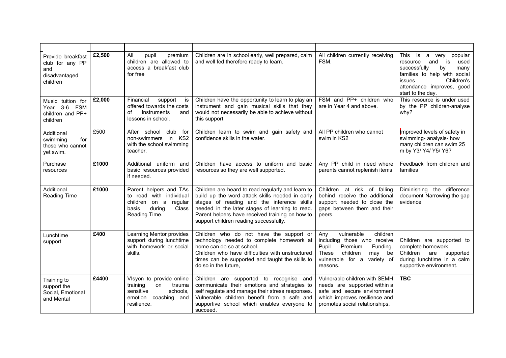| Provide breakfast<br>club for any PP<br>and<br>disadvantaged<br>children | £2,500 | All<br>pupil<br>premium<br>children are allowed to<br>access a breakfast club<br>for free                                  | Children are in school early, well prepared, calm<br>and well fed therefore ready to learn.                                                                                                                                                                                                        | All children currently receiving<br>FSM.                                                                                                                               | This<br>is<br>popular<br>a<br>very<br>used<br>resource<br>and<br>is<br>successfully<br>many<br>by<br>families to help with social<br>Children's<br>issues.<br>attendance improves, good<br>start to the day. |
|--------------------------------------------------------------------------|--------|----------------------------------------------------------------------------------------------------------------------------|----------------------------------------------------------------------------------------------------------------------------------------------------------------------------------------------------------------------------------------------------------------------------------------------------|------------------------------------------------------------------------------------------------------------------------------------------------------------------------|--------------------------------------------------------------------------------------------------------------------------------------------------------------------------------------------------------------|
| Music tuition for<br>Year 3-6 FSM<br>children and PP+<br>children        | £2,000 | Financial<br>support<br>is<br>offered towards the costs<br>instruments<br>Ωf<br>and<br>lessons in school.                  | Children have the opportunity to learn to play an<br>instrument and gain musical skills that they<br>would not necessarily be able to achieve without<br>this support.                                                                                                                             | FSM and PP+ children who<br>are in Year 4 and above.                                                                                                                   | This resource is under used<br>by the PP children-analyse<br>whv?                                                                                                                                            |
| Additional<br>swimming<br>for<br>those who cannot<br>yet swim.           | £500   | After school<br>club<br>for<br>KS <sub>2</sub><br>non-swimmers in<br>with the school swimming<br>teacher.                  | Children learn to swim and gain safety and<br>confidence skills in the water.                                                                                                                                                                                                                      | All PP children who cannot<br>swim in KS2                                                                                                                              | Improved levels of safety in<br>swimming- analysis- how<br>many children can swim 25<br>m by Y3/ Y4/ Y5/ Y6?                                                                                                 |
| Purchase<br>resources                                                    | £1000  | Additional uniform and<br>basic resources provided<br>if needed.                                                           | Children have access to uniform and basic<br>resources so they are well supported.                                                                                                                                                                                                                 | Any PP child in need where<br>parents cannot replenish items                                                                                                           | Feedback from children and<br>families                                                                                                                                                                       |
| Additional<br>Reading Time                                               | £1000  | Parent helpers and TAs<br>to read with individual<br>children<br>on a regular<br>Class<br>basis<br>during<br>Reading Time. | Children are heard to read regularly and learn to<br>build up the word attack skills needed in early<br>stages of reading and the inference skills<br>needed in the later stages of learning to read.<br>Parent helpers have received training on how to<br>support children reading successfully. | Children at risk of falling<br>behind receive the additional<br>support needed to close the<br>gaps between them and their<br>peers.                                   | the difference<br>Diminishing<br>document Narrowing the gap<br>evidence                                                                                                                                      |
| Lunchtime<br>support                                                     | £400   | Learning Mentor provides<br>support during lunchtime<br>with homework or social<br>skills.                                 | Children who do not have the support or<br>technology needed to complete homework at<br>home can do so at school.<br>Children who have difficulties with unstructured<br>times can be supported and taught the skills to<br>do so in the future.                                                   | vulnerable<br>children<br>Any<br>including those who receive<br>Pupil<br>Premium<br>Funding.<br>These<br>children<br>may be<br>vulnerable for a variety of<br>reasons. | Children are supported to<br>complete homework.<br>Children<br>are<br>supported<br>during lunchtime in a calm<br>supportive environment.                                                                     |
| Training to<br>support the<br>Social, Emotional<br>and Mental            | £4400  | Visyon to provide online<br>training<br>on<br>trauma<br>sensitive<br>schools,<br>emotion<br>coaching and<br>resilience.    | Children are supported to recognise and<br>communicate their emotions and strategies to<br>self regulate and manage their stress responses.<br>Vulnerable children benefit from a safe and<br>supportive school which enables everyone to<br>succeed.                                              | Vulnerable children with SEMH<br>needs are supported within a<br>safe and secure environment<br>which improves resilience and<br>promotes social relationships.        | <b>TBC</b>                                                                                                                                                                                                   |